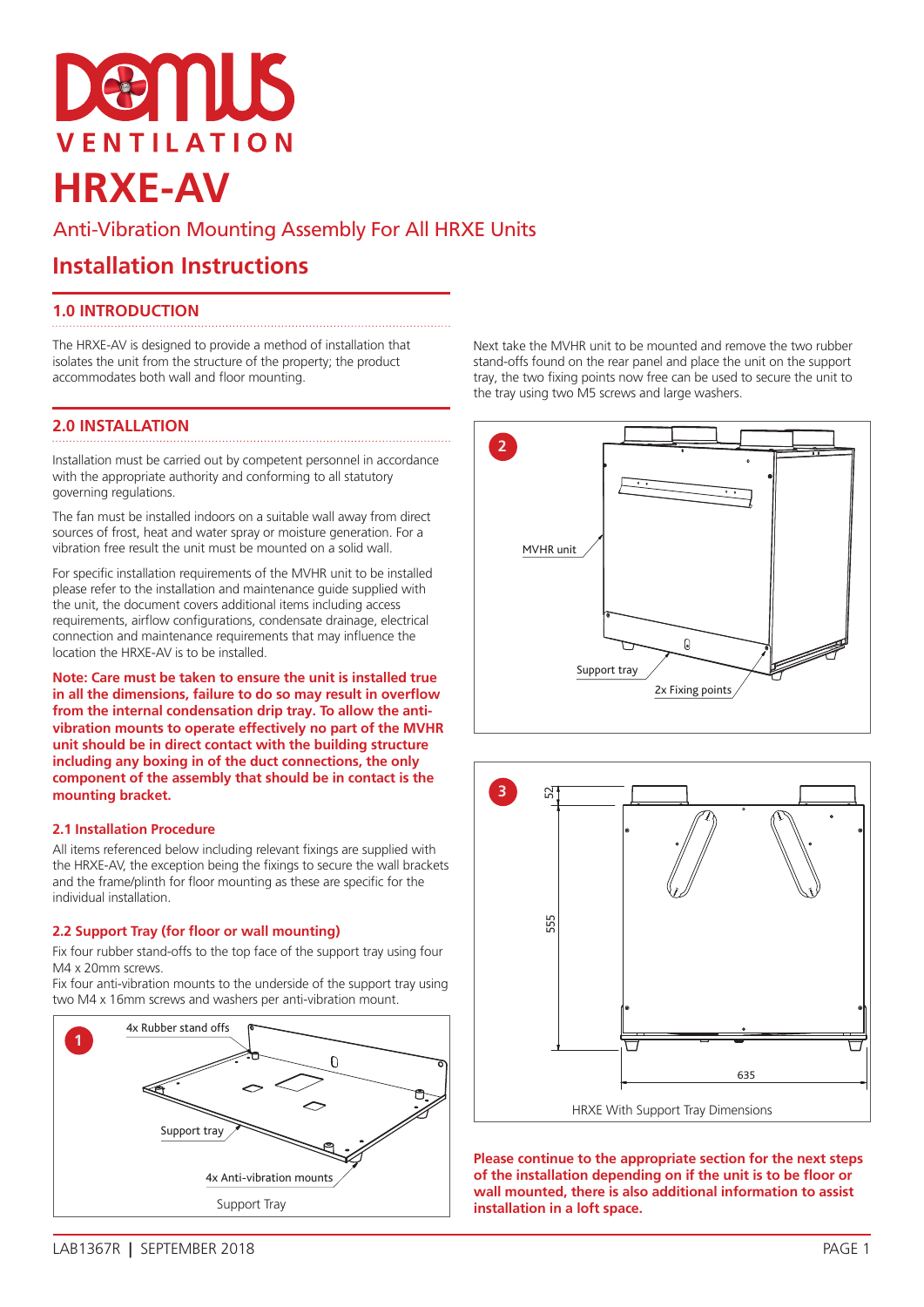# emus **VENTILATION HRXE-AV**

## Anti-Vibration Mounting Assembly For All HRXE Units

# **Installation Instructions**

### **1.0 INTRODUCTION**

The HRXE-AV is designed to provide a method of installation that isolates the unit from the structure of the property; the product accommodates both wall and floor mounting.

## **2.0 INSTALLATION**

Installation must be carried out by competent personnel in accordance with the appropriate authority and conforming to all statutory governing regulations.

The fan must be installed indoors on a suitable wall away from direct sources of frost, heat and water spray or moisture generation. For a vibration free result the unit must be mounted on a solid wall.

For specific installation requirements of the MVHR unit to be installed please refer to the installation and maintenance guide supplied with the unit, the document covers additional items including access requirements, airflow configurations, condensate drainage, electrical connection and maintenance requirements that may influence the location the HRXE-AV is to be installed.

**Note: Care must be taken to ensure the unit is installed true in all the dimensions, failure to do so may result in overflow from the internal condensation drip tray. To allow the antivibration mounts to operate effectively no part of the MVHR unit should be in direct contact with the building structure including any boxing in of the duct connections, the only component of the assembly that should be in contact is the mounting bracket.**

#### **2.1 Installation Procedure**

All items referenced below including relevant fixings are supplied with the HRXE-AV, the exception being the fixings to secure the wall brackets and the frame/plinth for floor mounting as these are specific for the individual installation.

#### **2.2 Support Tray (for floor or wall mounting)**

Fix four rubber stand-offs to the top face of the support tray using four M4 x 20mm screws.

Fix four anti-vibration mounts to the underside of the support tray using two M4 x 16mm screws and washers per anti-vibration mount.



Next take the MVHR unit to be mounted and remove the two rubber stand-offs found on the rear panel and place the unit on the support tray, the two fixing points now free can be used to secure the unit to the tray using two M5 screws and large washers.





**Please continue to the appropriate section for the next steps of the installation depending on if the unit is to be floor or wall mounted, there is also additional information to assist installation in a loft space.**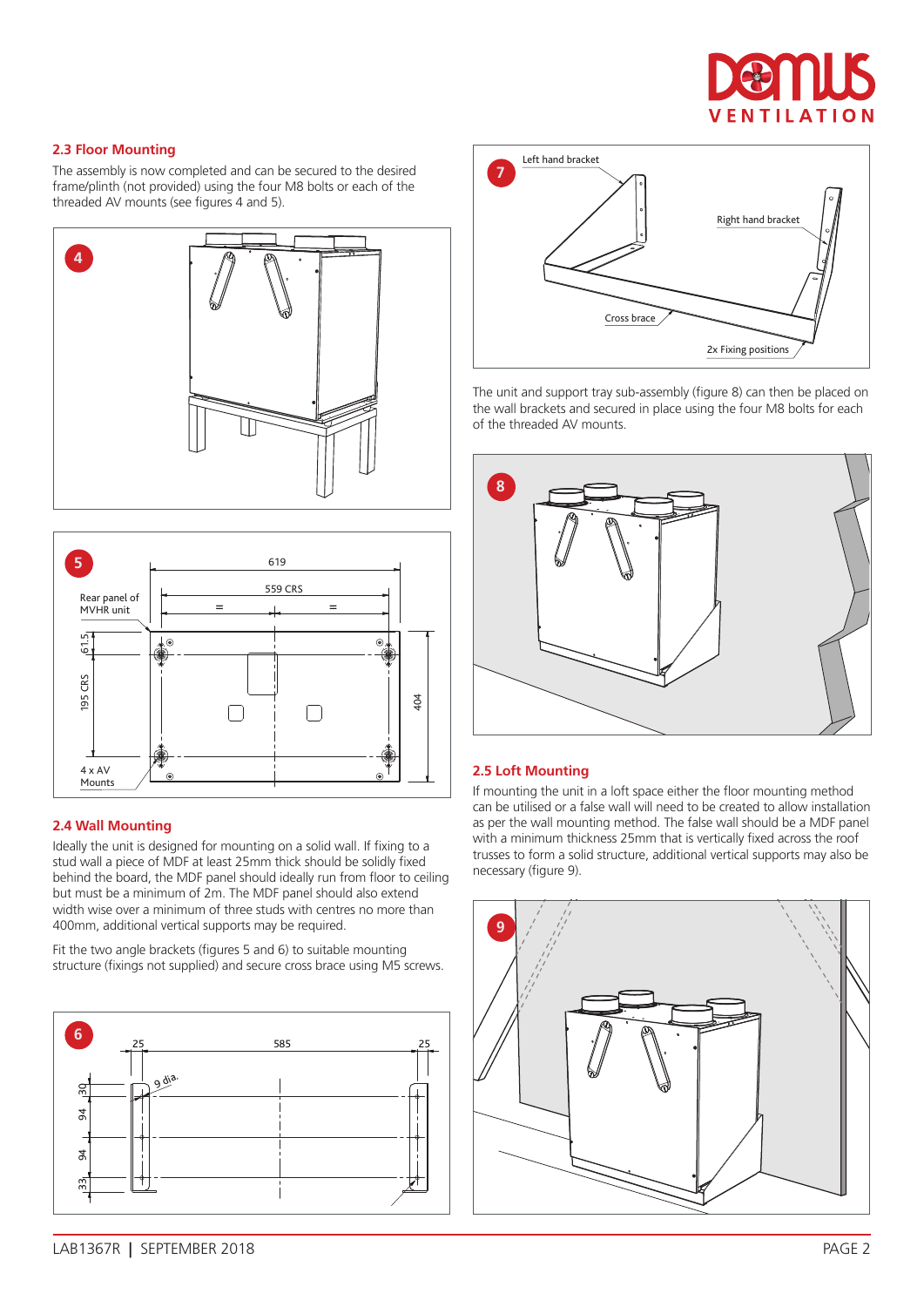

#### **2.3 Floor Mounting**

The assembly is now completed and can be secured to the desired frame/plinth (not provided) using the four M8 bolts or each of the threaded AV mounts (see figures 4 and 5).





#### **2.4 Wall Mounting**

Ideally the unit is designed for mounting on a solid wall. If fixing to a stud wall a piece of MDF at least 25mm thick should be solidly fixed behind the board, the MDF panel should ideally run from floor to ceiling but must be a minimum of 2m. The MDF panel should also extend width wise over a minimum of three studs with centres no more than 400mm, additional vertical supports may be required.

Fit the two angle brackets (figures 5 and 6) to suitable mounting structure (fixings not supplied) and secure cross brace using M5 screws.





The unit and support tray sub-assembly (figure 8) can then be placed on the wall brackets and secured in place using the four M8 bolts for each of the threaded AV mounts.



#### **2.5 Loft Mounting**

If mounting the unit in a loft space either the floor mounting method can be utilised or a false wall will need to be created to allow installation as per the wall mounting method. The false wall should be a MDF panel with a minimum thickness 25mm that is vertically fixed across the roof trusses to form a solid structure, additional vertical supports may also be necessary (figure 9).